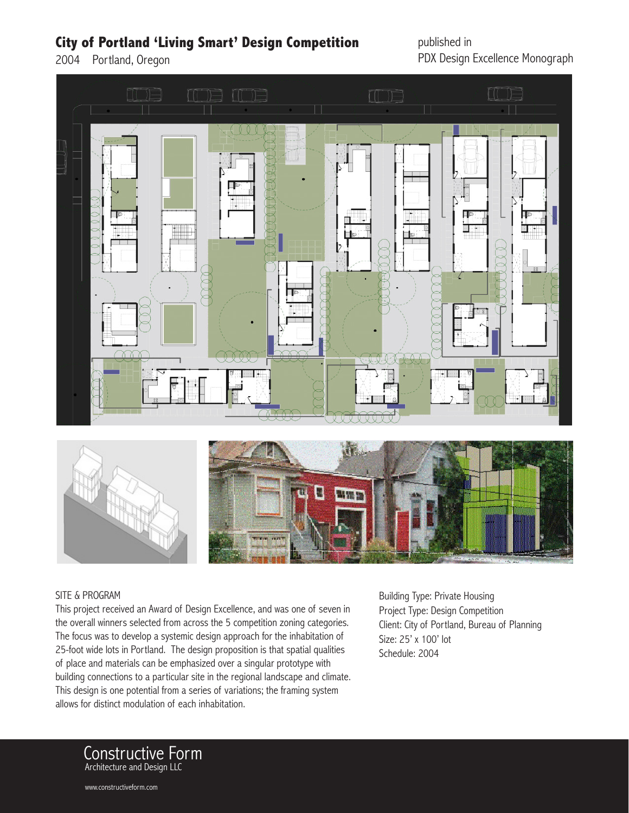## **City of Portland 'Living Smart' Design Competition**

2004 Portland, Oregon

published in PDX Design Excellence Monograph





## SITE & PROGRAM

This project received an Award of Design Excellence, and was one of seven in the overall winners selected from across the 5 competition zoning categories. The focus was to develop a systemic design approach for the inhabitation of 25-foot wide lots in Portland. The design proposition is that spatial qualities of place and materials can be emphasized over a singular prototype with building connections to a particular site in the regional landscape and climate. This design is one potential from a series of variations; the framing system allows for distinct modulation of each inhabitation.

Building Type: Private Housing Project Type: Design Competition Client: City of Portland, Bureau of Planning Size: 25' x 100' lot Schedule: 2004



www.constructiveform.com